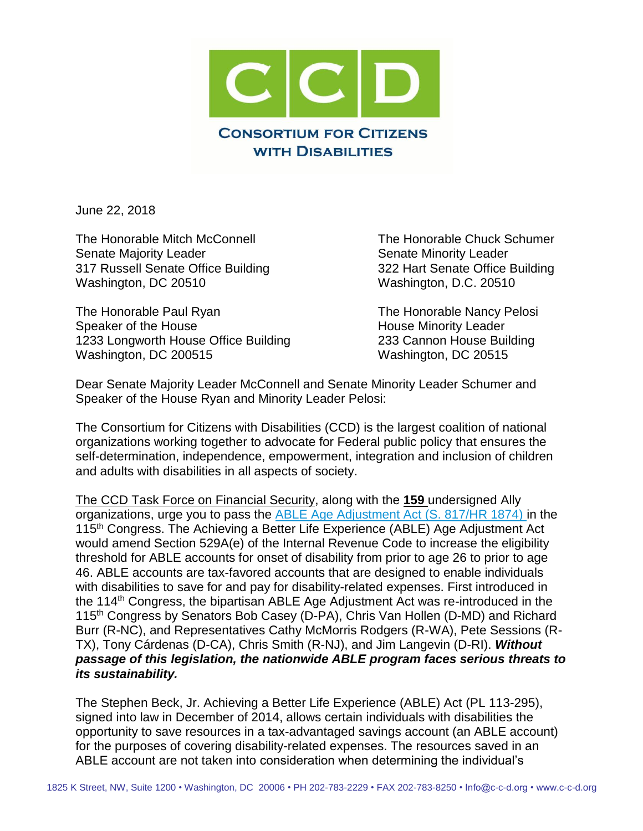

June 22, 2018

The Honorable Mitch McConnell The Honorable Chuck Schumer Senate Majority Leader Senate Minority Leader 317 Russell Senate Office Building 322 Hart Senate Office Building Washington, DC 20510 Washington, D.C. 20510

The Honorable Paul Ryan The Honorable Nancy Pelosi Speaker of the House **House Minority Leader** 1233 Longworth House Office Building 233 Cannon House Building Washington, DC 200515 Washington, DC 20515

Dear Senate Majority Leader McConnell and Senate Minority Leader Schumer and Speaker of the House Ryan and Minority Leader Pelosi:

The Consortium for Citizens with Disabilities (CCD) is the largest coalition of national organizations working together to advocate for Federal public policy that ensures the self-determination, independence, empowerment, integration and inclusion of children and adults with disabilities in all aspects of society.

[The CCD Task Force on Financial Security,](http://www.c-c-d.org/rubriques.php?rub=taskforce.php&id_task=24) along with the **159** undersigned Ally organizations, urge you to pass the [ABLE Age Adjustment Act \(S. 817/HR 1874\)](https://www.congress.gov/bill/115th-congress/senate-bill/817?q=%7B%22search%22%3A%5B%22ABLE+Age%22%5D%7D&r=2) in the 115<sup>th</sup> Congress. The Achieving a Better Life Experience (ABLE) Age Adjustment Act would amend Section 529A(e) of the Internal Revenue Code to increase the eligibility threshold for ABLE accounts for onset of disability from prior to age 26 to prior to age 46. ABLE accounts are tax-favored accounts that are designed to enable individuals with disabilities to save for and pay for disability-related expenses. First introduced in the 114th Congress, the bipartisan ABLE Age Adjustment Act was re-introduced in the 115<sup>th</sup> Congress by Senators Bob Casey (D-PA), Chris Van Hollen (D-MD) and Richard Burr (R-NC), and Representatives Cathy McMorris Rodgers (R-WA), Pete Sessions (R-TX), Tony Cárdenas (D-CA), Chris Smith (R-NJ), and Jim Langevin (D-RI). *Without passage of this legislation, the nationwide ABLE program faces serious threats to its sustainability.*

The Stephen Beck, Jr. Achieving a Better Life Experience (ABLE) Act (PL 113-295), signed into law in December of 2014, allows certain individuals with disabilities the opportunity to save resources in a tax-advantaged savings account (an ABLE account) for the purposes of covering disability-related expenses. The resources saved in an ABLE account are not taken into consideration when determining the individual's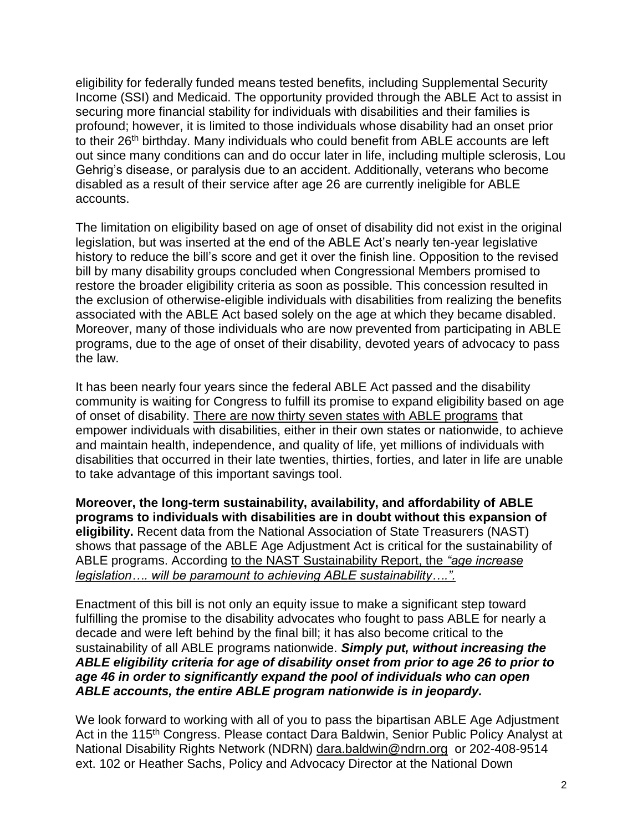eligibility for federally funded means tested benefits, including Supplemental Security Income (SSI) and Medicaid. The opportunity provided through the ABLE Act to assist in securing more financial stability for individuals with disabilities and their families is profound; however, it is limited to those individuals whose disability had an onset prior to their 26<sup>th</sup> birthday. Many individuals who could benefit from ABLE accounts are left out since many conditions can and do occur later in life, including multiple sclerosis, Lou Gehrig's disease, or paralysis due to an accident. Additionally, veterans who become disabled as a result of their service after age 26 are currently ineligible for ABLE accounts.

The limitation on eligibility based on age of onset of disability did not exist in the original legislation, but was inserted at the end of the ABLE Act's nearly ten-year legislative history to reduce the bill's score and get it over the finish line. Opposition to the revised bill by many disability groups concluded when Congressional Members promised to restore the broader eligibility criteria as soon as possible. This concession resulted in the exclusion of otherwise-eligible individuals with disabilities from realizing the benefits associated with the ABLE Act based solely on the age at which they became disabled. Moreover, many of those individuals who are now prevented from participating in ABLE programs, due to the age of onset of their disability, devoted years of advocacy to pass the law.

It has been nearly four years since the federal ABLE Act passed and the disability community is waiting for Congress to fulfill its promise to expand eligibility based on age of onset of disability. [There are now thirty seven states with ABLE programs](http://ablenrc.org/state-review) that empower individuals with disabilities, either in their own states or nationwide, to achieve and maintain health, independence, and quality of life, yet millions of individuals with disabilities that occurred in their late twenties, thirties, forties, and later in life are unable to take advantage of this important savings tool.

**Moreover, the long-term sustainability, availability, and affordability of ABLE programs to individuals with disabilities are in doubt without this expansion of eligibility.** Recent data from the National Association of State Treasurers (NAST) shows that passage of the ABLE Age Adjustment Act is critical for the sustainability of ABLE programs. According [to the NAST Sustainability Report, the](https://nast.org/wp-content/uploads/2018/05/ABLE_Sustainability-Report_FINAL_04-09-18.pdf) *"age increase [legislation…. will be paramount to achieving ABLE sustainability….".](https://nast.org/wp-content/uploads/2018/05/ABLE_Sustainability-Report_FINAL_04-09-18.pdf)*

Enactment of this bill is not only an equity issue to make a significant step toward fulfilling the promise to the disability advocates who fought to pass ABLE for nearly a decade and were left behind by the final bill; it has also become critical to the sustainability of all ABLE programs nationwide. *Simply put, without increasing the ABLE eligibility criteria for age of disability onset from prior to age 26 to prior to age 46 in order to significantly expand the pool of individuals who can open ABLE accounts, the entire ABLE program nationwide is in jeopardy.*

We look forward to working with all of you to pass the bipartisan ABLE Age Adjustment Act in the 115<sup>th</sup> Congress. Please contact Dara Baldwin, Senior Public Policy Analyst at National Disability Rights Network (NDRN) [dara.baldwin@ndrn.org](mailto:dara.baldwin@ndrn.org) or 202-408-9514 ext. 102 or Heather Sachs, Policy and Advocacy Director at the National Down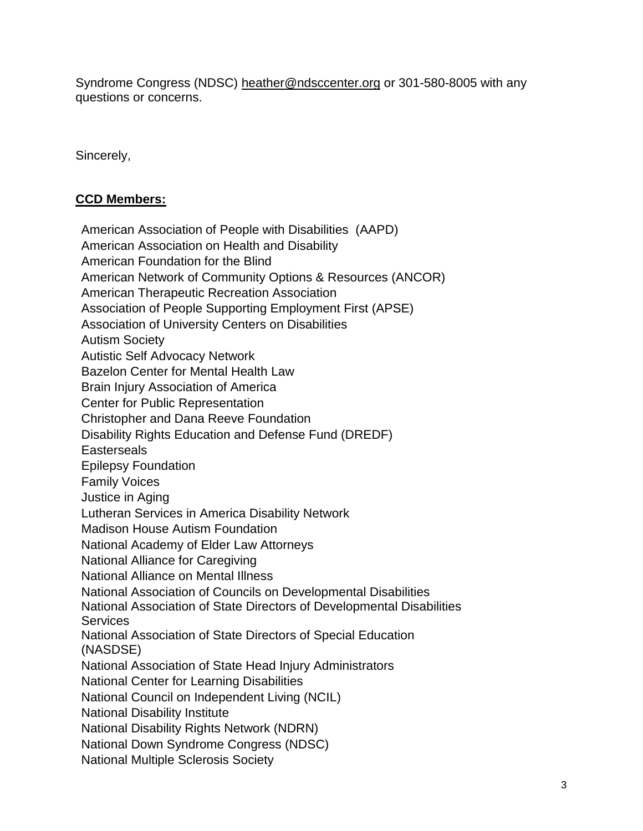Syndrome Congress (NDSC) [heather@ndsccenter.org](mailto:heather@ndsccenter.org) or 301-580-8005 with any questions or concerns.

Sincerely,

## **CCD Members:**

American Association of People with Disabilities (AAPD) American Association on Health and Disability American Foundation for the Blind American Network of Community Options & Resources (ANCOR) American Therapeutic Recreation Association Association of People Supporting Employment First (APSE) Association of University Centers on Disabilities Autism Society Autistic Self Advocacy Network Bazelon Center for Mental Health Law Brain Injury Association of America Center for Public Representation Christopher and Dana Reeve Foundation Disability Rights Education and Defense Fund (DREDF) **Easterseals** Epilepsy Foundation Family Voices Justice in Aging Lutheran Services in America Disability Network Madison House Autism Foundation National Academy of Elder Law Attorneys National Alliance for Caregiving National Alliance on Mental Illness National Association of Councils on Developmental Disabilities National Association of State Directors of Developmental Disabilities Services National Association of State Directors of Special Education (NASDSE) National Association of State Head Injury Administrators National Center for Learning Disabilities National Council on Independent Living (NCIL) National Disability Institute National Disability Rights Network (NDRN) National Down Syndrome Congress (NDSC) National Multiple Sclerosis Society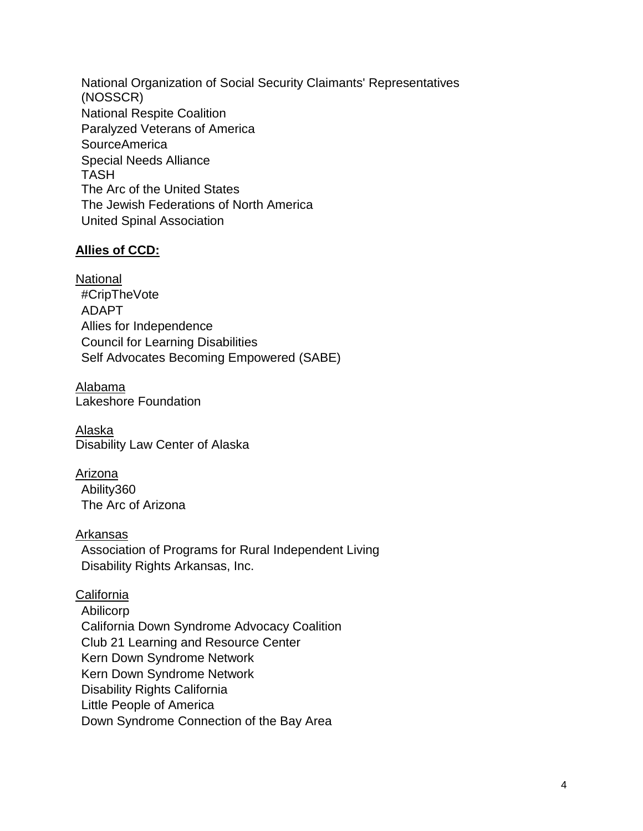National Organization of Social Security Claimants' Representatives (NOSSCR) National Respite Coalition Paralyzed Veterans of America SourceAmerica Special Needs Alliance TASH The Arc of the United States The Jewish Federations of North America United Spinal Association

## **Allies of CCD:**

**National** #CripTheVote ADAPT Allies for Independence Council for Learning Disabilities Self Advocates Becoming Empowered (SABE)

Alabama Lakeshore Foundation

Alaska Disability Law Center of Alaska

Arizona Ability360 The Arc of Arizona

Arkansas

Association of Programs for Rural Independent Living Disability Rights Arkansas, Inc.

### California

Abilicorp California Down Syndrome Advocacy Coalition Club 21 Learning and Resource Center Kern Down Syndrome Network Kern Down Syndrome Network Disability Rights California Little People of America Down Syndrome Connection of the Bay Area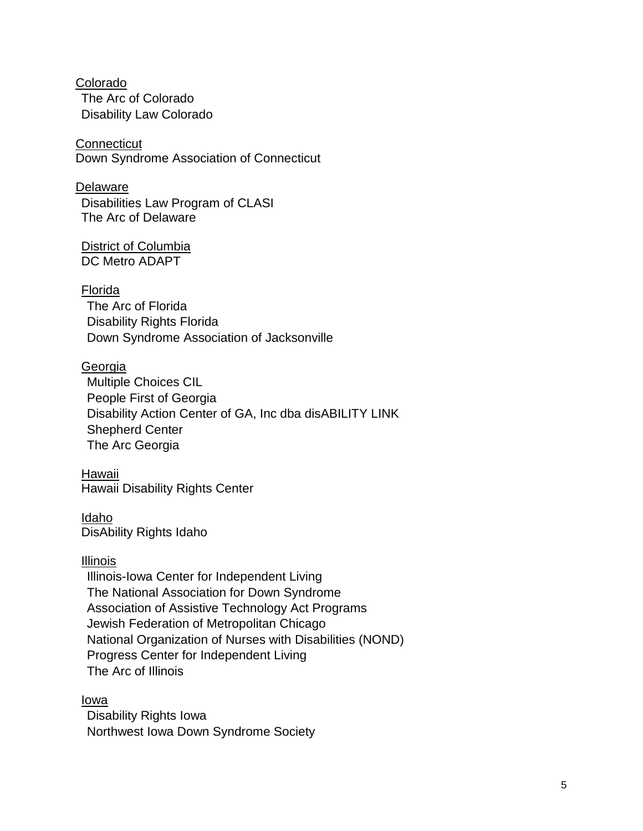Colorado The Arc of Colorado Disability Law Colorado

**Connecticut** Down Syndrome Association of Connecticut

Delaware Disabilities Law Program of CLASI The Arc of Delaware

District of Columbia DC Metro ADAPT

Florida The Arc of Florida Disability Rights Florida Down Syndrome Association of Jacksonville

Georgia Multiple Choices CIL People First of Georgia Disability Action Center of GA, Inc dba disABILITY LINK Shepherd Center The Arc Georgia

Hawaii Hawaii Disability Rights Center

Idaho DisAbility Rights Idaho

#### Illinois

Illinois-Iowa Center for Independent Living The National Association for Down Syndrome Association of Assistive Technology Act Programs Jewish Federation of Metropolitan Chicago National Organization of Nurses with Disabilities (NOND) Progress Center for Independent Living The Arc of Illinois

Iowa

Disability Rights Iowa Northwest Iowa Down Syndrome Society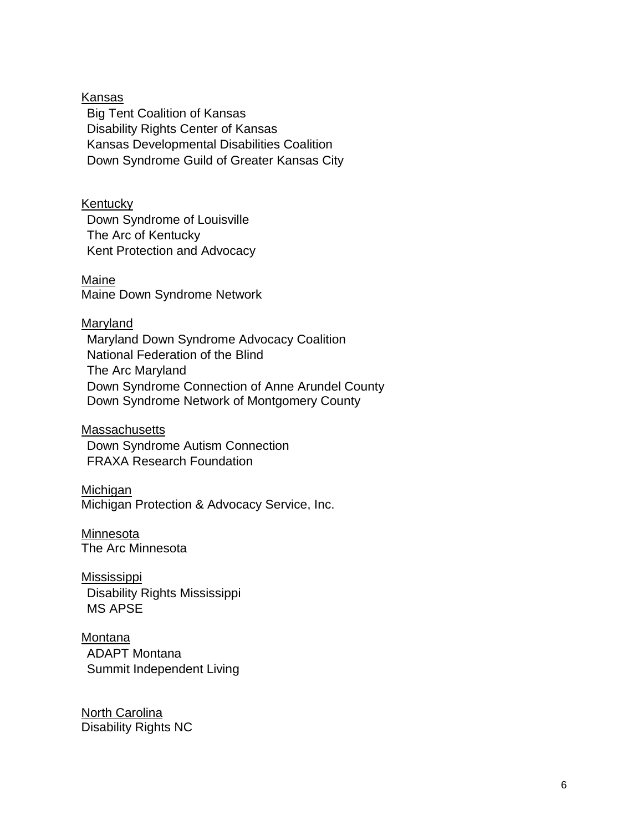Kansas

Big Tent Coalition of Kansas Disability Rights Center of Kansas Kansas Developmental Disabilities Coalition Down Syndrome Guild of Greater Kansas City

Kentucky Down Syndrome of Louisville The Arc of Kentucky Kent Protection and Advocacy

Maine Maine Down Syndrome Network

### Maryland

Maryland Down Syndrome Advocacy Coalition National Federation of the Blind The Arc Maryland Down Syndrome Connection of Anne Arundel County Down Syndrome Network of Montgomery County

#### **Massachusetts**

Down Syndrome Autism Connection FRAXA Research Foundation

#### Michigan

Michigan Protection & Advocacy Service, Inc.

**Minnesota** The Arc Minnesota

**Mississippi** Disability Rights Mississippi MS APSE

**Montana** ADAPT Montana Summit Independent Living

North Carolina Disability Rights NC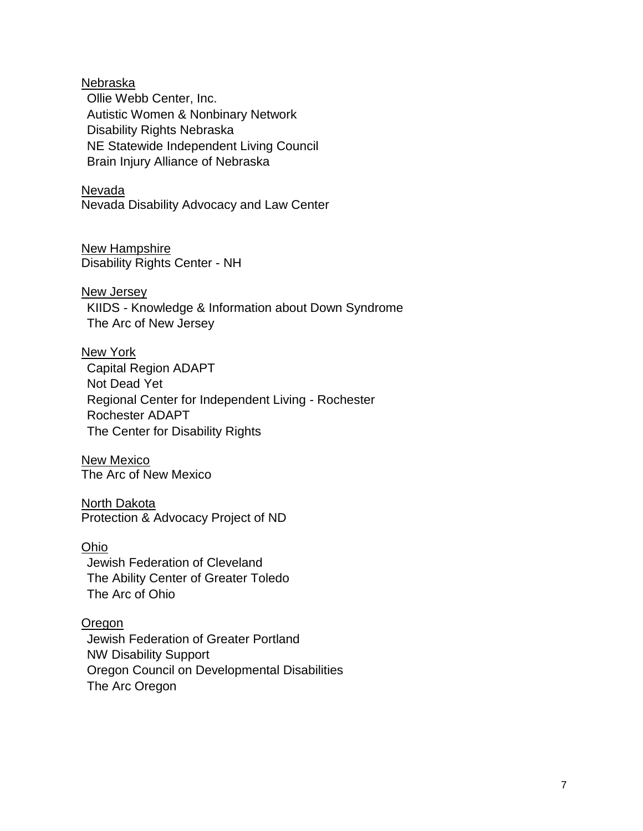Nebraska Ollie Webb Center, Inc. Autistic Women & Nonbinary Network Disability Rights Nebraska NE Statewide Independent Living Council Brain Injury Alliance of Nebraska

#### Nevada

Nevada Disability Advocacy and Law Center

New Hampshire Disability Rights Center - NH

New Jersey

KIIDS - Knowledge & Information about Down Syndrome The Arc of New Jersey

New York

Capital Region ADAPT Not Dead Yet Regional Center for Independent Living - Rochester Rochester ADAPT The Center for Disability Rights

New Mexico The Arc of New Mexico

North Dakota Protection & Advocacy Project of ND

Ohio Jewish Federation of Cleveland The Ability Center of Greater Toledo The Arc of Ohio

**Oregon** 

Jewish Federation of Greater Portland NW Disability Support Oregon Council on Developmental Disabilities The Arc Oregon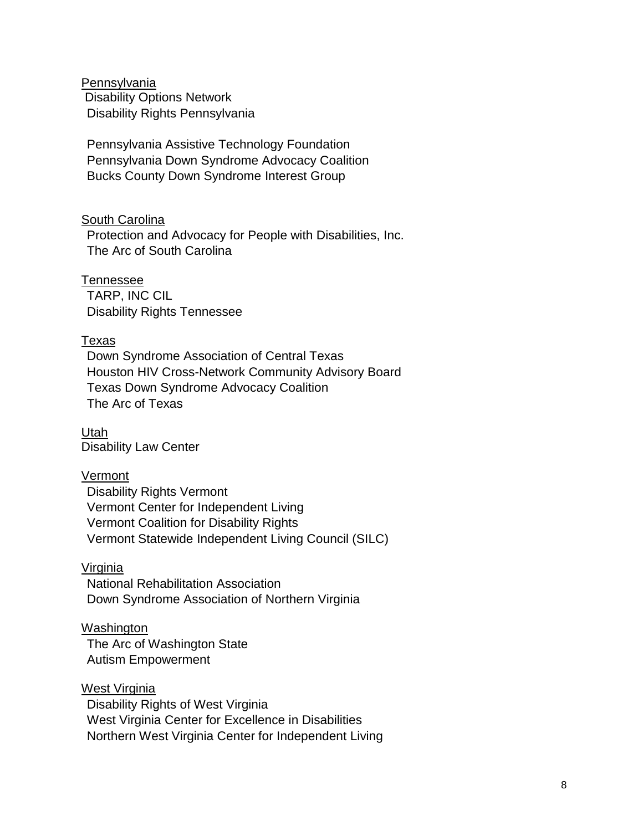**Pennsylvania** Disability Options Network Disability Rights Pennsylvania

Pennsylvania Assistive Technology Foundation Pennsylvania Down Syndrome Advocacy Coalition Bucks County Down Syndrome Interest Group

South Carolina

Protection and Advocacy for People with Disabilities, Inc. The Arc of South Carolina

**Tennessee** 

TARP, INC CIL Disability Rights Tennessee

# Texas

Down Syndrome Association of Central Texas Houston HIV Cross-Network Community Advisory Board Texas Down Syndrome Advocacy Coalition The Arc of Texas

Utah Disability Law Center

# Vermont

Disability Rights Vermont Vermont Center for Independent Living Vermont Coalition for Disability Rights Vermont Statewide Independent Living Council (SILC)

## Virginia

National Rehabilitation Association Down Syndrome Association of Northern Virginia

Washington The Arc of Washington State Autism Empowerment

West Virginia Disability Rights of West Virginia West Virginia Center for Excellence in Disabilities Northern West Virginia Center for Independent Living